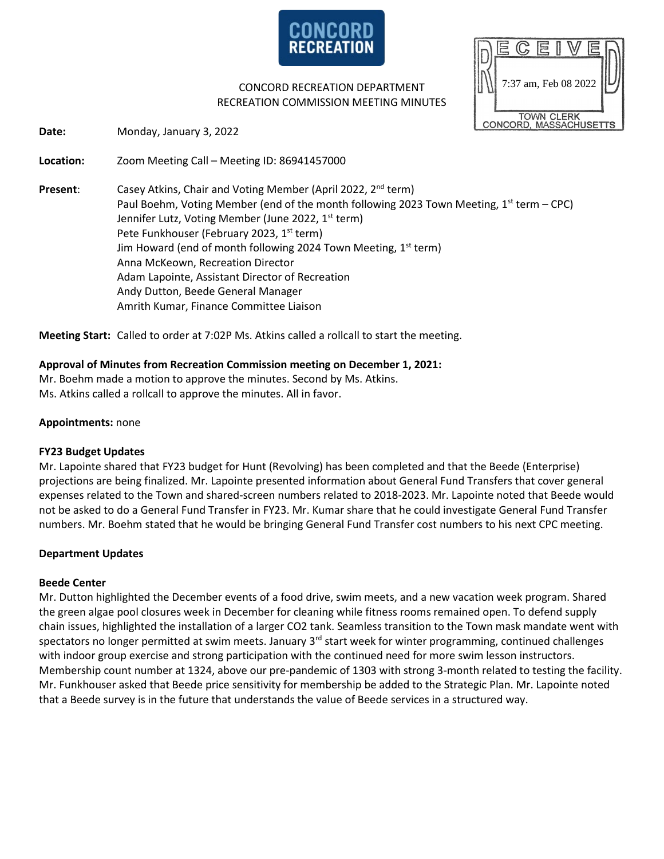

CONCORD RECREATION DEPARTMENT RECREATION COMMISSION MEETING MINUTES



**Date:** Monday, January 3, 2022

**Location:** Zoom Meeting Call – Meeting ID: 86941457000

**Present:** Casey Atkins, Chair and Voting Member (April 2022, 2<sup>nd</sup> term) Paul Boehm, Voting Member (end of the month following 2023 Town Meeting,  $1<sup>st</sup>$  term – CPC) Jennifer Lutz, Voting Member (June 2022, 1<sup>st</sup> term) Pete Funkhouser (February 2023, 1<sup>st</sup> term) Jim Howard (end of month following 2024 Town Meeting,  $1<sup>st</sup>$  term) Anna McKeown, Recreation Director Adam Lapointe, Assistant Director of Recreation Andy Dutton, Beede General Manager Amrith Kumar, Finance Committee Liaison

**Meeting Start:** Called to order at 7:02P Ms. Atkins called a rollcall to start the meeting.

# **Approval of Minutes from Recreation Commission meeting on December 1, 2021:**

Mr. Boehm made a motion to approve the minutes. Second by Ms. Atkins. Ms. Atkins called a rollcall to approve the minutes. All in favor.

### **Appointments:** none

### **FY23 Budget Updates**

Mr. Lapointe shared that FY23 budget for Hunt (Revolving) has been completed and that the Beede (Enterprise) projections are being finalized. Mr. Lapointe presented information about General Fund Transfers that cover general expenses related to the Town and shared-screen numbers related to 2018-2023. Mr. Lapointe noted that Beede would not be asked to do a General Fund Transfer in FY23. Mr. Kumar share that he could investigate General Fund Transfer numbers. Mr. Boehm stated that he would be bringing General Fund Transfer cost numbers to his next CPC meeting.

### **Department Updates**

### **Beede Center**

Mr. Dutton highlighted the December events of a food drive, swim meets, and a new vacation week program. Shared the green algae pool closures week in December for cleaning while fitness rooms remained open. To defend supply chain issues, highlighted the installation of a larger CO2 tank. Seamless transition to the Town mask mandate went with spectators no longer permitted at swim meets. January  $3<sup>rd</sup>$  start week for winter programming, continued challenges with indoor group exercise and strong participation with the continued need for more swim lesson instructors. Membership count number at 1324, above our pre-pandemic of 1303 with strong 3-month related to testing the facility. Mr. Funkhouser asked that Beede price sensitivity for membership be added to the Strategic Plan. Mr. Lapointe noted that a Beede survey is in the future that understands the value of Beede services in a structured way.